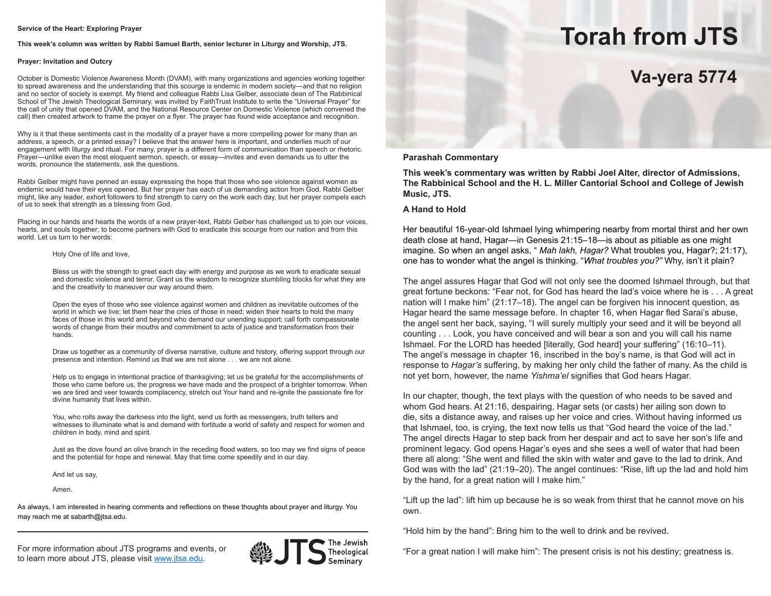#### **Service of the Heart: Exploring Prayer**

**This week's column was written by Rabbi Samuel Barth, senior lecturer in Liturgy and Worship, JTS.**

### **Prayer: Invitation and Outcry**

October is Domestic Violence Awareness Month (DVAM), with many organizations and agencies working together to spread awareness and the understanding that this scourge is endemic in modern society—and that no religion and no sector of society is exempt. My friend and colleague Rabbi Lisa Gelber, associate dean of The Rabbinical School of The Jewish Theological Seminary, was invited by FaithTrust Institute to write the "Universal Prayer" for the call of unity that opened DVAM, and the National Resource Center on Domestic Violence (which convened the call) then created artwork to frame the prayer on a flyer. The prayer has found wide acceptance and recognition.

Why is it that these sentiments cast in the modality of a prayer have a more compelling power for many than an address, a speech, or a printed essay? I believe that the answer here is important, and underlies much of our engagement with liturgy and ritual. For many, prayer is a different form of communication than speech or rhetoric. Prayer—unlike even the most eloquent sermon, speech, or essay—invites and even demands us to utter the words, pronounce the statements, ask the questions.

Rabbi Gelber might have penned an essay expressing the hope that those who see violence against women as endemic would have their eyes opened. But her prayer has each of us demanding action from God. Rabbi Gelber might, like any leader, exhort followers to find strength to carry on the work each day, but her prayer compels each of us to seek that strength as a blessing from God.

Placing in our hands and hearts the words of a new prayer-text, Rabbi Gelber has challenged us to join our voices, hearts, and souls together; to become partners with God to eradicate this scourge from our nation and from this world. Let us turn to her words:

### Holy One of life and love,

Bless us with the strength to greet each day with energy and purpose as we work to eradicate sexual and domestic violence and terror. Grant us the wisdom to recognize stumbling blocks for what they are and the creativity to maneuver our way around them.

Open the eyes of those who see violence against women and children as inevitable outcomes of the world in which we live; let them hear the cries of those in need; widen their hearts to hold the many faces of those in this world and beyond who demand our unending support; call forth compassionate words of change from their mouths and commitment to acts of justice and transformation from their hands.

Draw us together as a community of diverse narrative, culture and history, offering support through our presence and intention. Remind us that we are not alone . . . we are not alone.

Help us to engage in intentional practice of thanksgiving; let us be grateful for the accomplishments of those who came before us, the progress we have made and the prospect of a brighter tomorrow. When we are tired and veer towards complacency, stretch out Your hand and re-ignite the passionate fire for divine humanity that lives within.

You, who rolls away the darkness into the light, send us forth as messengers, truth tellers and witnesses to illuminate what is and demand with fortitude a world of safety and respect for women and children in body, mind and spirit.

Just as the dove found an olive branch in the receding flood waters, so too may we find signs of peace and the potential for hope and renewal. May that time come speedily and in our day.

And let us say,

Amen.

As always, I am interested in hearing comments and reflections on these thoughts about prayer and liturgy. You may reach me at sabarth@jtsa.edu.

For more information about JTS programs and events, or **the programs and events, or the ological** Theological "For a great nation I will make him": The present crisis is not his destiny; greatness is.<br>Seminary to learn more about JTS, please visit www.jtsa.edu.





# **Torah from JTS**

# **Va-yera 5774**

### **Parashah Commentary**

**This week's commentary was written by Rabbi Joel Alter, director of Admissions, The Rabbinical School and the H. L. Miller Cantorial School and College of Jewish Music, JTS.**

### **A Hand to Hold**

Her beautiful 16-year-old Ishmael lying whimpering nearby from mortal thirst and her own death close at hand, Hagar—in Genesis 21:15–18—is about as pitiable as one might imagine. So when an angel asks, " *Mah lakh, Hagar?* What troubles you, Hagar?; 21:17), one has to wonder what the angel is thinking. "*What troubles you?"* Why, isn't it plain?

The angel assures Hagar that God will not only see the doomed Ishmael through, but that great fortune beckons: "Fear not, for God has heard the lad's voice where he is . . . A great nation will I make him" (21:17–18). The angel can be forgiven his innocent question, as Hagar heard the same message before. In chapter 16, when Hagar fled Sarai's abuse, the angel sent her back, saying, "I will surely multiply your seed and it will be beyond all counting . . . Look, you have conceived and will bear a son and you will call his name Ishmael. For the LORD has heeded [literally, God heard] your suffering" (16:10–11). The angel's message in chapter 16, inscribed in the boy's name, is that God will act in response to *Hagar's* suffering, by making her only child the father of many. As the child is not yet born, however, the name *Yishma'el* signifies that God hears Hagar.

In our chapter, though, the text plays with the question of who needs to be saved and whom God hears. At 21:16, despairing, Hagar sets (or casts) her ailing son down to die, sits a distance away, and raises up her voice and cries. Without having informed us that Ishmael, too, is crying, the text now tells us that "God heard the voice of the lad." The angel directs Hagar to step back from her despair and act to save her son's life and prominent legacy. God opens Hagar's eyes and she sees a well of water that had been there all along: "She went and filled the skin with water and gave to the lad to drink. And God was with the lad" (21:19–20). The angel continues: "Rise, lift up the lad and hold him by the hand, for a great nation will I make him."

"Lift up the lad": lift him up because he is so weak from thirst that he cannot move on his own.

"Hold him by the hand": Bring him to the well to drink and be revived.